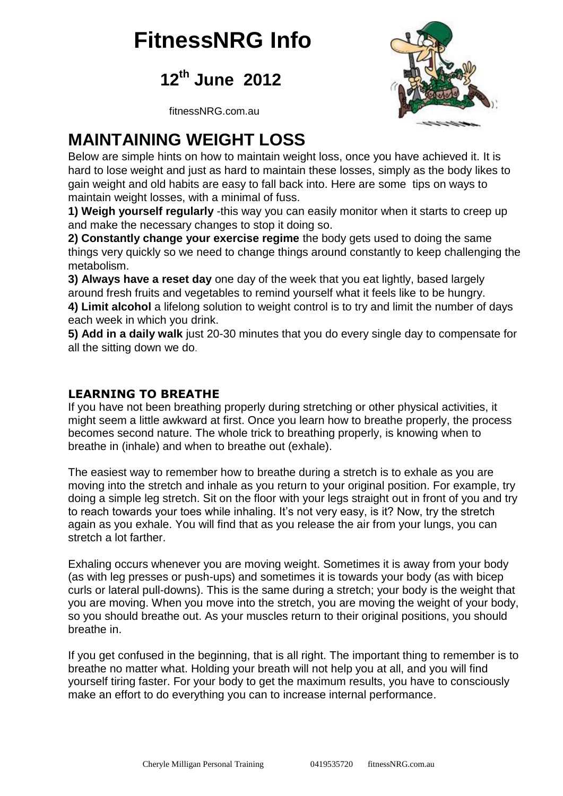# **FitnessNRG Info**

**12th June 2012**



fitnessNRG.com.au

#### **MAINTAINING WEIGHT LOSS**

Below are simple hints on how to maintain weight loss, once you have achieved it. It is hard to lose weight and just as hard to maintain these losses, simply as the body likes to gain weight and old habits are easy to fall back into. Here are some tips on ways to maintain weight losses, with a minimal of fuss.

**1) Weigh yourself regularly** -this way you can easily monitor when it starts to creep up and make the necessary changes to stop it doing so.

**2) Constantly change your exercise regime** the body gets used to doing the same things very quickly so we need to change things around constantly to keep challenging the metabolism.

**3) Always have a reset day** one day of the week that you eat lightly, based largely around fresh fruits and vegetables to remind yourself what it feels like to be hungry.

**4) Limit alcohol** a lifelong solution to weight control is to try and limit the number of days each week in which you drink.

**5) Add in a daily walk** just 20-30 minutes that you do every single day to compensate for all the sitting down we do.

#### **LEARNING TO BREATHE**

If you have not been breathing properly during stretching or other physical activities, it might seem a little awkward at first. Once you learn how to breathe properly, the process becomes second nature. The whole trick to breathing properly, is knowing when to breathe in (inhale) and when to breathe out (exhale).

The easiest way to remember how to breathe during a stretch is to exhale as you are moving into the stretch and inhale as you return to your original position. For example, try doing a simple leg stretch. Sit on the floor with your legs straight out in front of you and try to reach towards your toes while inhaling. It's not very easy, is it? Now, try the stretch again as you exhale. You will find that as you release the air from your lungs, you can stretch a lot farther.

Exhaling occurs whenever you are moving weight. Sometimes it is away from your body (as with leg presses or push-ups) and sometimes it is towards your body (as with bicep curls or lateral pull-downs). This is the same during a stretch; your body is the weight that you are moving. When you move into the stretch, you are moving the weight of your body, so you should breathe out. As your muscles return to their original positions, you should breathe in.

If you get confused in the beginning, that is all right. The important thing to remember is to breathe no matter what. Holding your breath will not help you at all, and you will find yourself tiring faster. For your body to get the maximum results, you have to consciously make an effort to do everything you can to increase internal performance.